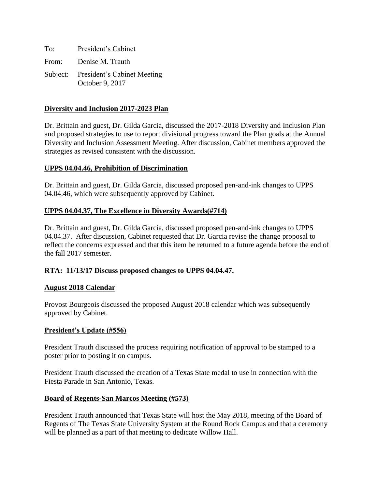| To: | President's Cabinet                                     |
|-----|---------------------------------------------------------|
|     | From: Denise M. Trauth                                  |
|     | Subject: President's Cabinet Meeting<br>October 9, 2017 |

## **Diversity and Inclusion 2017-2023 Plan**

Dr. Brittain and guest, Dr. Gilda Garcia, discussed the 2017-2018 Diversity and Inclusion Plan and proposed strategies to use to report divisional progress toward the Plan goals at the Annual Diversity and Inclusion Assessment Meeting. After discussion, Cabinet members approved the strategies as revised consistent with the discussion.

## **UPPS 04.04.46, Prohibition of Discrimination**

Dr. Brittain and guest, Dr. Gilda Garcia, discussed proposed pen-and-ink changes to UPPS 04.04.46, which were subsequently approved by Cabinet.

## **UPPS 04.04.37, The Excellence in Diversity Awards(#714)**

Dr. Brittain and guest, Dr. Gilda Garcia, discussed proposed pen-and-ink changes to UPPS 04.04.37. After discussion, Cabinet requested that Dr. Garcia revise the change proposal to reflect the concerns expressed and that this item be returned to a future agenda before the end of the fall 2017 semester.

### **RTA: 11/13/17 Discuss proposed changes to UPPS 04.04.47.**

### **August 2018 Calendar**

Provost Bourgeois discussed the proposed August 2018 calendar which was subsequently approved by Cabinet.

### **President's Update (#556)**

President Trauth discussed the process requiring notification of approval to be stamped to a poster prior to posting it on campus.

President Trauth discussed the creation of a Texas State medal to use in connection with the Fiesta Parade in San Antonio, Texas.

### **Board of Regents-San Marcos Meeting (#573)**

President Trauth announced that Texas State will host the May 2018, meeting of the Board of Regents of The Texas State University System at the Round Rock Campus and that a ceremony will be planned as a part of that meeting to dedicate Willow Hall.